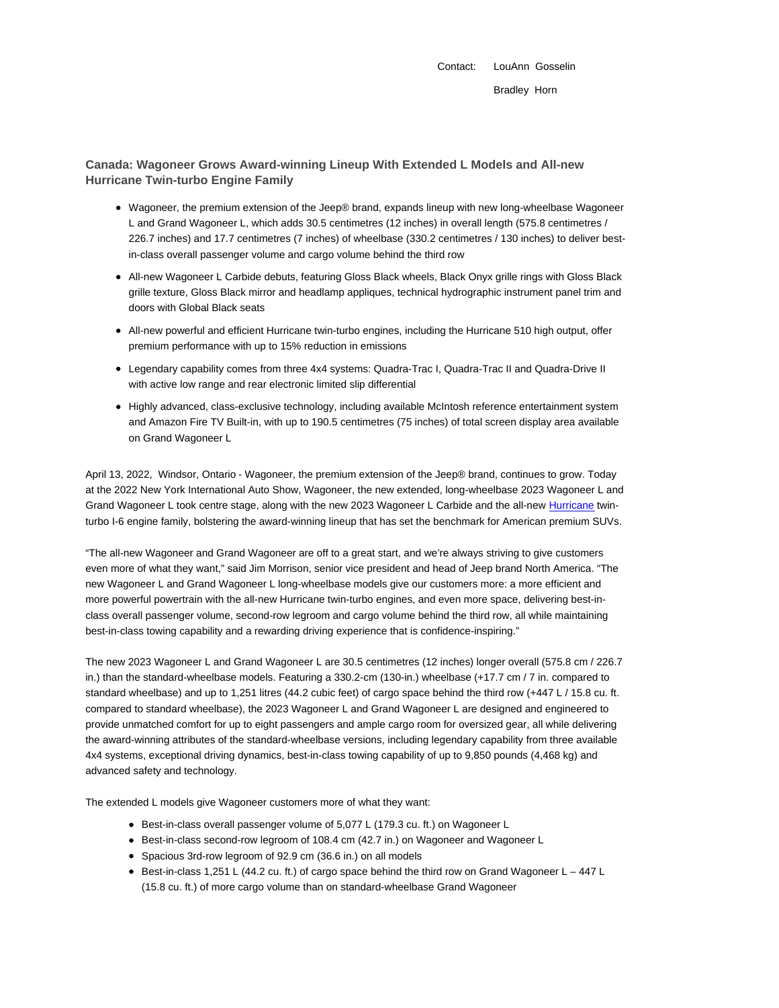Contact: LouAnn Gosselin Bradley Horn

# **Canada: Wagoneer Grows Award-winning Lineup With Extended L Models and All-new Hurricane Twin-turbo Engine Family**

- Wagoneer, the premium extension of the Jeep® brand, expands lineup with new long-wheelbase Wagoneer L and Grand Wagoneer L, which adds 30.5 centimetres (12 inches) in overall length (575.8 centimetres / 226.7 inches) and 17.7 centimetres (7 inches) of wheelbase (330.2 centimetres / 130 inches) to deliver bestin-class overall passenger volume and cargo volume behind the third row
- All-new Wagoneer L Carbide debuts, featuring Gloss Black wheels, Black Onyx grille rings with Gloss Black grille texture, Gloss Black mirror and headlamp appliques, technical hydrographic instrument panel trim and doors with Global Black seats
- All-new powerful and efficient Hurricane twin-turbo engines, including the Hurricane 510 high output, offer premium performance with up to 15% reduction in emissions
- Legendary capability comes from three 4x4 systems: Quadra-Trac I, Quadra-Trac II and Quadra-Drive II with active low range and rear electronic limited slip differential
- Highly advanced, class-exclusive technology, including available McIntosh reference entertainment system and Amazon Fire TV Built-in, with up to 190.5 centimetres (75 inches) of total screen display area available on Grand Wagoneer L

April 13, 2022, Windsor, Ontario - Wagoneer, the premium extension of the Jeep® brand, continues to grow. Today at the 2022 New York International Auto Show, Wagoneer, the new extended, long-wheelbase 2023 Wagoneer L and Grand Wagoneer L took centre stage, along with the new 2023 Wagoneer L Carbide and the all-new Hurricane twinturbo I-6 engine family, bolstering the award-winning lineup that has set the benchmark for American premium SUVs.

"The all-new Wagoneer and Grand Wagoneer are off to a great start, and we're always striving to give customers even more of what they want," said Jim Morrison, senior vice president and head of Jeep brand North America. "The new Wagoneer L and Grand Wagoneer L long-wheelbase models give our customers more: a more efficient and more powerful powertrain with the all-new Hurricane twin-turbo engines, and even more space, delivering best-inclass overall passenger volume, second-row legroom and cargo volume behind the third row, all while maintaining best-in-class towing capability and a rewarding driving experience that is confidence-inspiring."

The new 2023 Wagoneer L and Grand Wagoneer L are 30.5 centimetres (12 inches) longer overall (575.8 cm / 226.7 in.) than the standard-wheelbase models. Featuring a 330.2-cm (130-in.) wheelbase (+17.7 cm / 7 in. compared to standard wheelbase) and up to 1,251 litres (44.2 cubic feet) of cargo space behind the third row (+447 L / 15.8 cu. ft. compared to standard wheelbase), the 2023 Wagoneer L and Grand Wagoneer L are designed and engineered to provide unmatched comfort for up to eight passengers and ample cargo room for oversized gear, all while delivering the award-winning attributes of the standard-wheelbase versions, including legendary capability from three available 4x4 systems, exceptional driving dynamics, best-in-class towing capability of up to 9,850 pounds (4,468 kg) and advanced safety and technology.

The extended L models give Wagoneer customers more of what they want:

- Best-in-class overall passenger volume of 5,077 L (179.3 cu. ft.) on Wagoneer L
- Best-in-class second-row legroom of 108.4 cm (42.7 in.) on Wagoneer and Wagoneer L
- Spacious 3rd-row legroom of 92.9 cm (36.6 in.) on all models
- Best-in-class 1,251 L (44.2 cu. ft.) of cargo space behind the third row on Grand Wagoneer L 447 L (15.8 cu. ft.) of more cargo volume than on standard-wheelbase Grand Wagoneer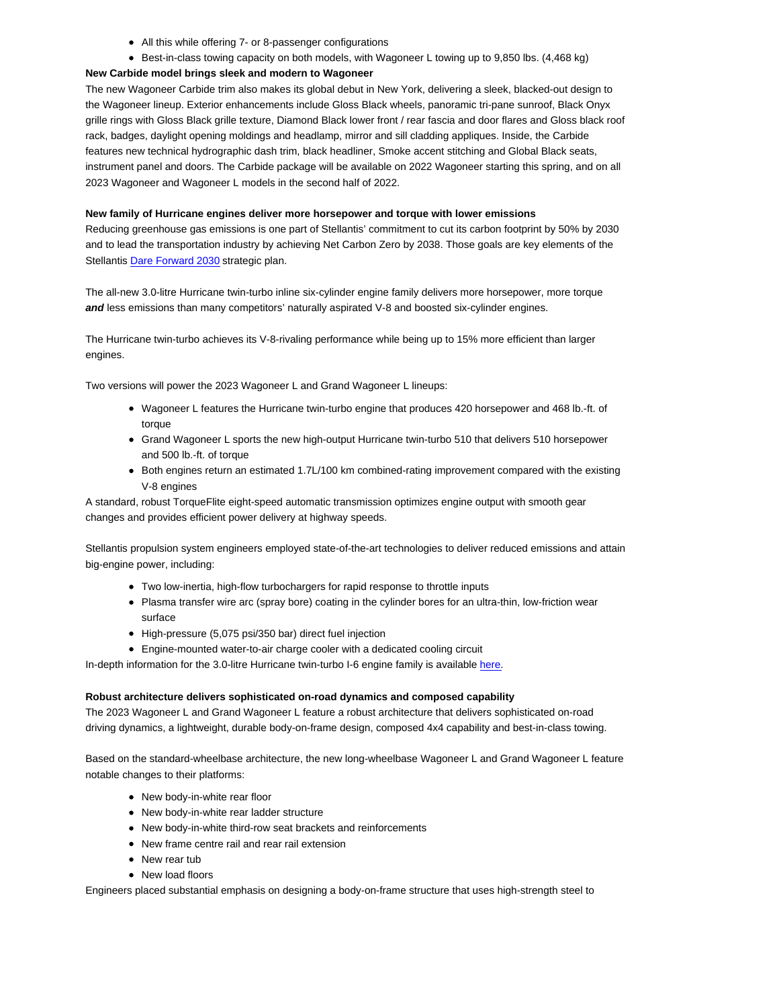- All this while offering 7- or 8-passenger configurations
- Best-in-class towing capacity on both models, with Wagoneer L towing up to 9,850 lbs. (4,468 kg)

### **New Carbide model brings sleek and modern to Wagoneer**

The new Wagoneer Carbide trim also makes its global debut in New York, delivering a sleek, blacked-out design to the Wagoneer lineup. Exterior enhancements include Gloss Black wheels, panoramic tri-pane sunroof, Black Onyx grille rings with Gloss Black grille texture, Diamond Black lower front / rear fascia and door flares and Gloss black roof rack, badges, daylight opening moldings and headlamp, mirror and sill cladding appliques. Inside, the Carbide features new technical hydrographic dash trim, black headliner, Smoke accent stitching and Global Black seats, instrument panel and doors. The Carbide package will be available on 2022 Wagoneer starting this spring, and on all 2023 Wagoneer and Wagoneer L models in the second half of 2022.

### **New family of Hurricane engines deliver more horsepower and torque with lower emissions**

Reducing greenhouse gas emissions is one part of Stellantis' commitment to cut its carbon footprint by 50% by 2030 and to lead the transportation industry by achieving Net Carbon Zero by 2038. Those goals are key elements of the Stellantis Dare Forward 2030 strategic plan.

The all-new 3.0-litre Hurricane twin-turbo inline six-cylinder engine family delivers more horsepower, more torque **and** less emissions than many competitors' naturally aspirated V-8 and boosted six-cylinder engines.

The Hurricane twin-turbo achieves its V-8-rivaling performance while being up to 15% more efficient than larger engines.

Two versions will power the 2023 Wagoneer L and Grand Wagoneer L lineups:

- Wagoneer L features the Hurricane twin-turbo engine that produces 420 horsepower and 468 lb.-ft. of torque
- Grand Wagoneer L sports the new high-output Hurricane twin-turbo 510 that delivers 510 horsepower and 500 lb.-ft. of torque
- Both engines return an estimated 1.7L/100 km combined-rating improvement compared with the existing V-8 engines

A standard, robust TorqueFlite eight-speed automatic transmission optimizes engine output with smooth gear changes and provides efficient power delivery at highway speeds.

Stellantis propulsion system engineers employed state-of-the-art technologies to deliver reduced emissions and attain big-engine power, including:

- Two low-inertia, high-flow turbochargers for rapid response to throttle inputs
- Plasma transfer wire arc (spray bore) coating in the cylinder bores for an ultra-thin, low-friction wear surface
- High-pressure (5,075 psi/350 bar) direct fuel injection
- Engine-mounted water-to-air charge cooler with a dedicated cooling circuit

In-depth information for the 3.0-litre Hurricane twin-turbo I-6 engine family is available here.

#### **Robust architecture delivers sophisticated on-road dynamics and composed capability**

The 2023 Wagoneer L and Grand Wagoneer L feature a robust architecture that delivers sophisticated on-road driving dynamics, a lightweight, durable body-on-frame design, composed 4x4 capability and best-in-class towing.

Based on the standard-wheelbase architecture, the new long-wheelbase Wagoneer L and Grand Wagoneer L feature notable changes to their platforms:

- New body-in-white rear floor
- New body-in-white rear ladder structure
- New body-in-white third-row seat brackets and reinforcements
- New frame centre rail and rear rail extension
- New rear tub
- New load floors

Engineers placed substantial emphasis on designing a body-on-frame structure that uses high-strength steel to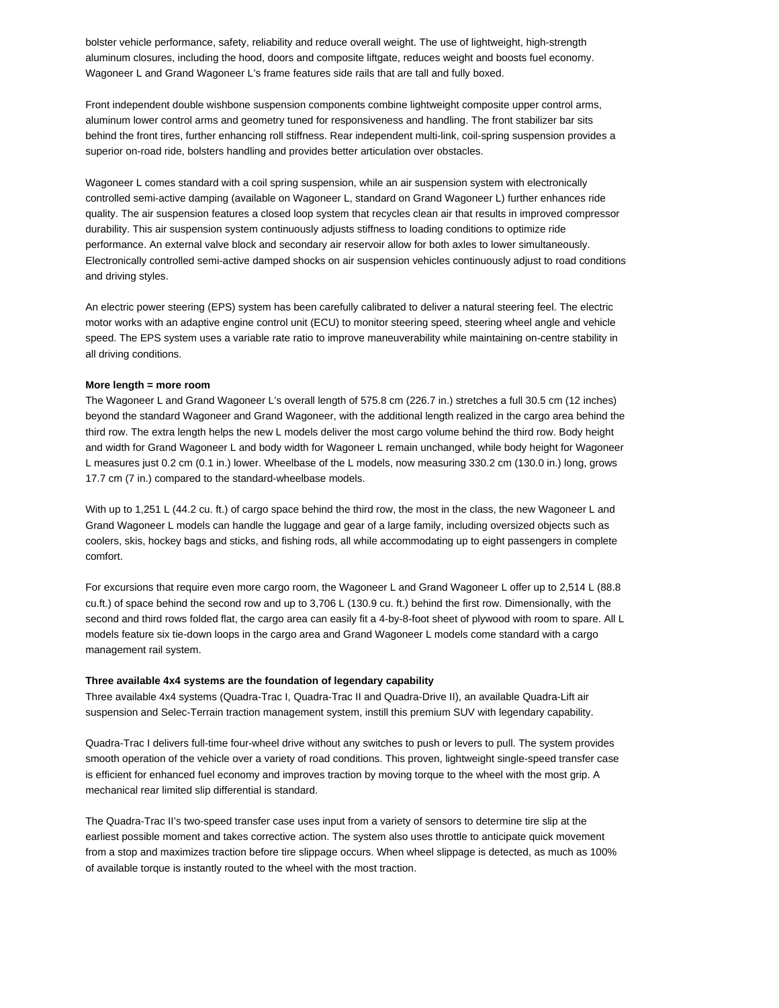bolster vehicle performance, safety, reliability and reduce overall weight. The use of lightweight, high-strength aluminum closures, including the hood, doors and composite liftgate, reduces weight and boosts fuel economy. Wagoneer L and Grand Wagoneer L's frame features side rails that are tall and fully boxed.

Front independent double wishbone suspension components combine lightweight composite upper control arms, aluminum lower control arms and geometry tuned for responsiveness and handling. The front stabilizer bar sits behind the front tires, further enhancing roll stiffness. Rear independent multi-link, coil-spring suspension provides a superior on-road ride, bolsters handling and provides better articulation over obstacles.

Wagoneer L comes standard with a coil spring suspension, while an air suspension system with electronically controlled semi-active damping (available on Wagoneer L, standard on Grand Wagoneer L) further enhances ride quality. The air suspension features a closed loop system that recycles clean air that results in improved compressor durability. This air suspension system continuously adjusts stiffness to loading conditions to optimize ride performance. An external valve block and secondary air reservoir allow for both axles to lower simultaneously. Electronically controlled semi-active damped shocks on air suspension vehicles continuously adjust to road conditions and driving styles.

An electric power steering (EPS) system has been carefully calibrated to deliver a natural steering feel. The electric motor works with an adaptive engine control unit (ECU) to monitor steering speed, steering wheel angle and vehicle speed. The EPS system uses a variable rate ratio to improve maneuverability while maintaining on-centre stability in all driving conditions.

#### **More length = more room**

The Wagoneer L and Grand Wagoneer L's overall length of 575.8 cm (226.7 in.) stretches a full 30.5 cm (12 inches) beyond the standard Wagoneer and Grand Wagoneer, with the additional length realized in the cargo area behind the third row. The extra length helps the new L models deliver the most cargo volume behind the third row. Body height and width for Grand Wagoneer L and body width for Wagoneer L remain unchanged, while body height for Wagoneer L measures just 0.2 cm (0.1 in.) lower. Wheelbase of the L models, now measuring 330.2 cm (130.0 in.) long, grows 17.7 cm (7 in.) compared to the standard-wheelbase models.

With up to 1,251 L (44.2 cu. ft.) of cargo space behind the third row, the most in the class, the new Wagoneer L and Grand Wagoneer L models can handle the luggage and gear of a large family, including oversized objects such as coolers, skis, hockey bags and sticks, and fishing rods, all while accommodating up to eight passengers in complete comfort.

For excursions that require even more cargo room, the Wagoneer L and Grand Wagoneer L offer up to 2,514 L (88.8 cu.ft.) of space behind the second row and up to 3,706 L (130.9 cu. ft.) behind the first row. Dimensionally, with the second and third rows folded flat, the cargo area can easily fit a 4-by-8-foot sheet of plywood with room to spare. All L models feature six tie-down loops in the cargo area and Grand Wagoneer L models come standard with a cargo management rail system.

#### **Three available 4x4 systems are the foundation of legendary capability**

Three available 4x4 systems (Quadra-Trac I, Quadra-Trac II and Quadra-Drive II), an available Quadra-Lift air suspension and Selec-Terrain traction management system, instill this premium SUV with legendary capability.

Quadra-Trac I delivers full-time four-wheel drive without any switches to push or levers to pull. The system provides smooth operation of the vehicle over a variety of road conditions. This proven, lightweight single-speed transfer case is efficient for enhanced fuel economy and improves traction by moving torque to the wheel with the most grip. A mechanical rear limited slip differential is standard.

The Quadra-Trac II's two-speed transfer case uses input from a variety of sensors to determine tire slip at the earliest possible moment and takes corrective action. The system also uses throttle to anticipate quick movement from a stop and maximizes traction before tire slippage occurs. When wheel slippage is detected, as much as 100% of available torque is instantly routed to the wheel with the most traction.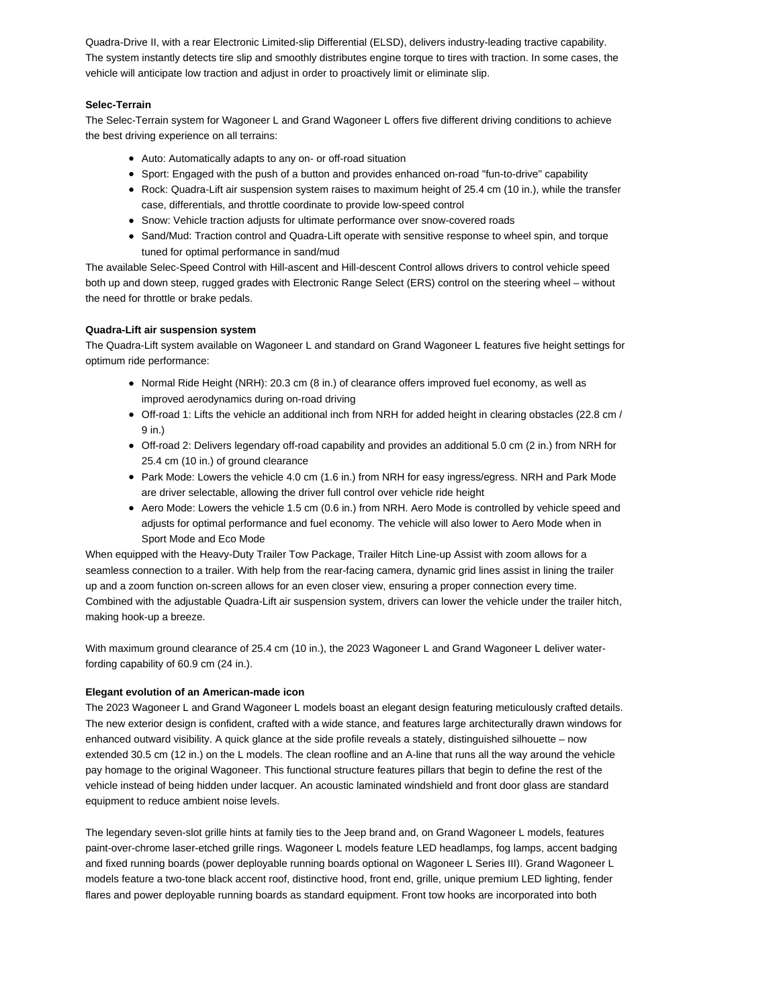Quadra-Drive II, with a rear Electronic Limited-slip Differential (ELSD), delivers industry-leading tractive capability. The system instantly detects tire slip and smoothly distributes engine torque to tires with traction. In some cases, the vehicle will anticipate low traction and adjust in order to proactively limit or eliminate slip.

## **Selec-Terrain**

The Selec-Terrain system for Wagoneer L and Grand Wagoneer L offers five different driving conditions to achieve the best driving experience on all terrains:

- Auto: Automatically adapts to any on- or off-road situation
- Sport: Engaged with the push of a button and provides enhanced on-road "fun-to-drive" capability
- Rock: Quadra-Lift air suspension system raises to maximum height of 25.4 cm (10 in.), while the transfer case, differentials, and throttle coordinate to provide low-speed control
- Snow: Vehicle traction adjusts for ultimate performance over snow-covered roads
- Sand/Mud: Traction control and Quadra-Lift operate with sensitive response to wheel spin, and torque tuned for optimal performance in sand/mud

The available Selec-Speed Control with Hill-ascent and Hill-descent Control allows drivers to control vehicle speed both up and down steep, rugged grades with Electronic Range Select (ERS) control on the steering wheel – without the need for throttle or brake pedals.

## **Quadra-Lift air suspension system**

The Quadra-Lift system available on Wagoneer L and standard on Grand Wagoneer L features five height settings for optimum ride performance:

- $\bullet$  Normal Ride Height (NRH): 20.3 cm (8 in.) of clearance offers improved fuel economy, as well as improved aerodynamics during on-road driving
- Off-road 1: Lifts the vehicle an additional inch from NRH for added height in clearing obstacles (22.8 cm / 9 in.)
- Off-road 2: Delivers legendary off-road capability and provides an additional 5.0 cm (2 in.) from NRH for 25.4 cm (10 in.) of ground clearance
- Park Mode: Lowers the vehicle 4.0 cm (1.6 in.) from NRH for easy ingress/egress. NRH and Park Mode are driver selectable, allowing the driver full control over vehicle ride height
- Aero Mode: Lowers the vehicle 1.5 cm (0.6 in.) from NRH. Aero Mode is controlled by vehicle speed and adjusts for optimal performance and fuel economy. The vehicle will also lower to Aero Mode when in Sport Mode and Eco Mode

When equipped with the Heavy-Duty Trailer Tow Package, Trailer Hitch Line-up Assist with zoom allows for a seamless connection to a trailer. With help from the rear-facing camera, dynamic grid lines assist in lining the trailer up and a zoom function on-screen allows for an even closer view, ensuring a proper connection every time. Combined with the adjustable Quadra-Lift air suspension system, drivers can lower the vehicle under the trailer hitch, making hook-up a breeze.

With maximum ground clearance of 25.4 cm (10 in.), the 2023 Wagoneer L and Grand Wagoneer L deliver waterfording capability of 60.9 cm (24 in.).

# **Elegant evolution of an American-made icon**

The 2023 Wagoneer L and Grand Wagoneer L models boast an elegant design featuring meticulously crafted details. The new exterior design is confident, crafted with a wide stance, and features large architecturally drawn windows for enhanced outward visibility. A quick glance at the side profile reveals a stately, distinguished silhouette – now extended 30.5 cm (12 in.) on the L models. The clean roofline and an A-line that runs all the way around the vehicle pay homage to the original Wagoneer. This functional structure features pillars that begin to define the rest of the vehicle instead of being hidden under lacquer. An acoustic laminated windshield and front door glass are standard equipment to reduce ambient noise levels.

The legendary seven-slot grille hints at family ties to the Jeep brand and, on Grand Wagoneer L models, features paint-over-chrome laser-etched grille rings. Wagoneer L models feature LED headlamps, fog lamps, accent badging and fixed running boards (power deployable running boards optional on Wagoneer L Series III). Grand Wagoneer L models feature a two-tone black accent roof, distinctive hood, front end, grille, unique premium LED lighting, fender flares and power deployable running boards as standard equipment. Front tow hooks are incorporated into both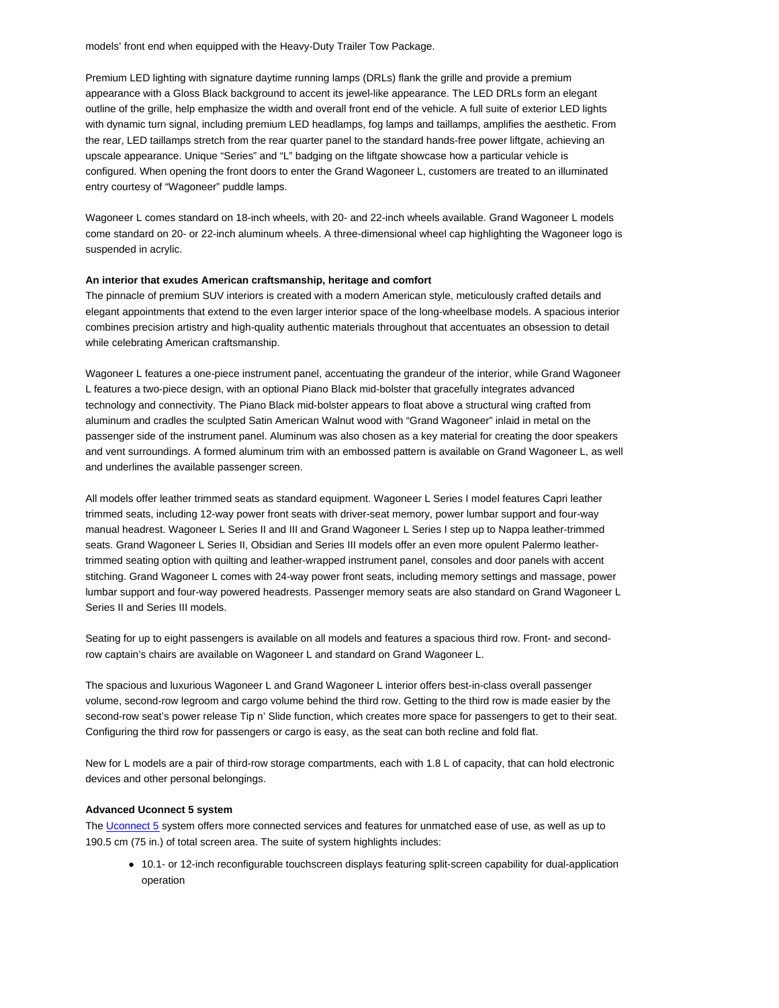models' front end when equipped with the Heavy-Duty Trailer Tow Package.

Premium LED lighting with signature daytime running lamps (DRLs) flank the grille and provide a premium appearance with a Gloss Black background to accent its jewel-like appearance. The LED DRLs form an elegant outline of the grille, help emphasize the width and overall front end of the vehicle. A full suite of exterior LED lights with dynamic turn signal, including premium LED headlamps, fog lamps and taillamps, amplifies the aesthetic. From the rear, LED taillamps stretch from the rear quarter panel to the standard hands-free power liftgate, achieving an upscale appearance. Unique "Series" and "L" badging on the liftgate showcase how a particular vehicle is configured. When opening the front doors to enter the Grand Wagoneer L, customers are treated to an illuminated entry courtesy of "Wagoneer" puddle lamps.

Wagoneer L comes standard on 18-inch wheels, with 20- and 22-inch wheels available. Grand Wagoneer L models come standard on 20- or 22-inch aluminum wheels. A three-dimensional wheel cap highlighting the Wagoneer logo is suspended in acrylic.

#### **An interior that exudes American craftsmanship, heritage and comfort**

The pinnacle of premium SUV interiors is created with a modern American style, meticulously crafted details and elegant appointments that extend to the even larger interior space of the long-wheelbase models. A spacious interior combines precision artistry and high-quality authentic materials throughout that accentuates an obsession to detail while celebrating American craftsmanship.

Wagoneer L features a one-piece instrument panel, accentuating the grandeur of the interior, while Grand Wagoneer L features a two-piece design, with an optional Piano Black mid-bolster that gracefully integrates advanced technology and connectivity. The Piano Black mid-bolster appears to float above a structural wing crafted from aluminum and cradles the sculpted Satin American Walnut wood with "Grand Wagoneer" inlaid in metal on the passenger side of the instrument panel. Aluminum was also chosen as a key material for creating the door speakers and vent surroundings. A formed aluminum trim with an embossed pattern is available on Grand Wagoneer L, as well and underlines the available passenger screen.

All models offer leather trimmed seats as standard equipment. Wagoneer L Series I model features Capri leather trimmed seats, including 12-way power front seats with driver-seat memory, power lumbar support and four-way manual headrest. Wagoneer L Series II and III and Grand Wagoneer L Series I step up to Nappa leather-trimmed seats. Grand Wagoneer L Series II, Obsidian and Series III models offer an even more opulent Palermo leathertrimmed seating option with quilting and leather-wrapped instrument panel, consoles and door panels with accent stitching. Grand Wagoneer L comes with 24-way power front seats, including memory settings and massage, power lumbar support and four-way powered headrests. Passenger memory seats are also standard on Grand Wagoneer L Series II and Series III models.

Seating for up to eight passengers is available on all models and features a spacious third row. Front- and secondrow captain's chairs are available on Wagoneer L and standard on Grand Wagoneer L.

The spacious and luxurious Wagoneer L and Grand Wagoneer L interior offers best-in-class overall passenger volume, second-row legroom and cargo volume behind the third row. Getting to the third row is made easier by the second-row seat's power release Tip n' Slide function, which creates more space for passengers to get to their seat. Configuring the third row for passengers or cargo is easy, as the seat can both recline and fold flat.

New for L models are a pair of third-row storage compartments, each with 1.8 L of capacity, that can hold electronic devices and other personal belongings.

### **Advanced Uconnect 5 system**

The Uconnect 5 system offers more connected services and features for unmatched ease of use, as well as up to 190.5 cm (75 in.) of total screen area. The suite of system highlights includes:

10.1- or 12-inch reconfigurable touchscreen displays featuring split-screen capability for dual-application operation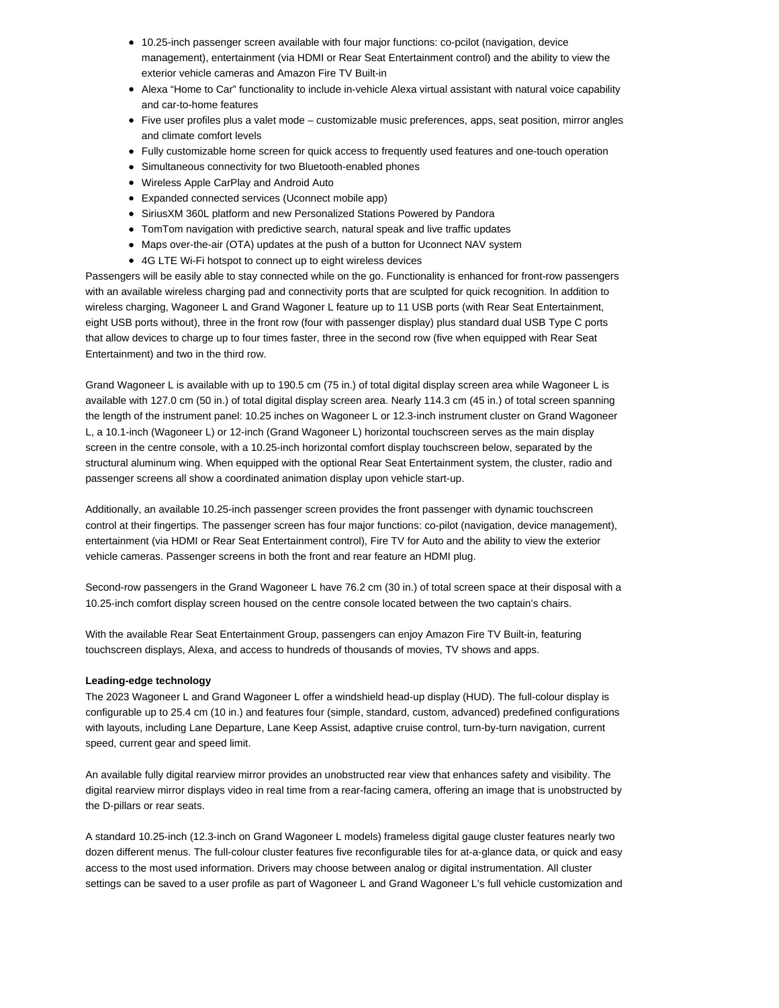- 10.25-inch passenger screen available with four major functions: co-pcilot (navigation, device management), entertainment (via HDMI or Rear Seat Entertainment control) and the ability to view the exterior vehicle cameras and Amazon Fire TV Built-in
- Alexa "Home to Car" functionality to include in-vehicle Alexa virtual assistant with natural voice capability and car-to-home features
- Five user profiles plus a valet mode customizable music preferences, apps, seat position, mirror angles and climate comfort levels
- Fully customizable home screen for quick access to frequently used features and one-touch operation
- Simultaneous connectivity for two Bluetooth-enabled phones
- Wireless Apple CarPlay and Android Auto
- Expanded connected services (Uconnect mobile app)
- SiriusXM 360L platform and new Personalized Stations Powered by Pandora
- TomTom navigation with predictive search, natural speak and live traffic updates
- Maps over-the-air (OTA) updates at the push of a button for Uconnect NAV system
- 4G LTE Wi-Fi hotspot to connect up to eight wireless devices

Passengers will be easily able to stay connected while on the go. Functionality is enhanced for front-row passengers with an available wireless charging pad and connectivity ports that are sculpted for quick recognition. In addition to wireless charging, Wagoneer L and Grand Wagoner L feature up to 11 USB ports (with Rear Seat Entertainment, eight USB ports without), three in the front row (four with passenger display) plus standard dual USB Type C ports that allow devices to charge up to four times faster, three in the second row (five when equipped with Rear Seat Entertainment) and two in the third row.

Grand Wagoneer L is available with up to 190.5 cm (75 in.) of total digital display screen area while Wagoneer L is available with 127.0 cm (50 in.) of total digital display screen area. Nearly 114.3 cm (45 in.) of total screen spanning the length of the instrument panel: 10.25 inches on Wagoneer L or 12.3-inch instrument cluster on Grand Wagoneer L, a 10.1-inch (Wagoneer L) or 12-inch (Grand Wagoneer L) horizontal touchscreen serves as the main display screen in the centre console, with a 10.25-inch horizontal comfort display touchscreen below, separated by the structural aluminum wing. When equipped with the optional Rear Seat Entertainment system, the cluster, radio and passenger screens all show a coordinated animation display upon vehicle start-up.

Additionally, an available 10.25-inch passenger screen provides the front passenger with dynamic touchscreen control at their fingertips. The passenger screen has four major functions: co-pilot (navigation, device management), entertainment (via HDMI or Rear Seat Entertainment control), Fire TV for Auto and the ability to view the exterior vehicle cameras. Passenger screens in both the front and rear feature an HDMI plug.

Second-row passengers in the Grand Wagoneer L have 76.2 cm (30 in.) of total screen space at their disposal with a 10.25-inch comfort display screen housed on the centre console located between the two captain's chairs.

With the available Rear Seat Entertainment Group, passengers can enjoy Amazon Fire TV Built-in, featuring touchscreen displays, Alexa, and access to hundreds of thousands of movies, TV shows and apps.

### **Leading-edge technology**

The 2023 Wagoneer L and Grand Wagoneer L offer a windshield head-up display (HUD). The full-colour display is configurable up to 25.4 cm (10 in.) and features four (simple, standard, custom, advanced) predefined configurations with layouts, including Lane Departure, Lane Keep Assist, adaptive cruise control, turn-by-turn navigation, current speed, current gear and speed limit.

An available fully digital rearview mirror provides an unobstructed rear view that enhances safety and visibility. The digital rearview mirror displays video in real time from a rear-facing camera, offering an image that is unobstructed by the D-pillars or rear seats.

A standard 10.25-inch (12.3-inch on Grand Wagoneer L models) frameless digital gauge cluster features nearly two dozen different menus. The full-colour cluster features five reconfigurable tiles for at-a-glance data, or quick and easy access to the most used information. Drivers may choose between analog or digital instrumentation. All cluster settings can be saved to a user profile as part of Wagoneer L and Grand Wagoneer L's full vehicle customization and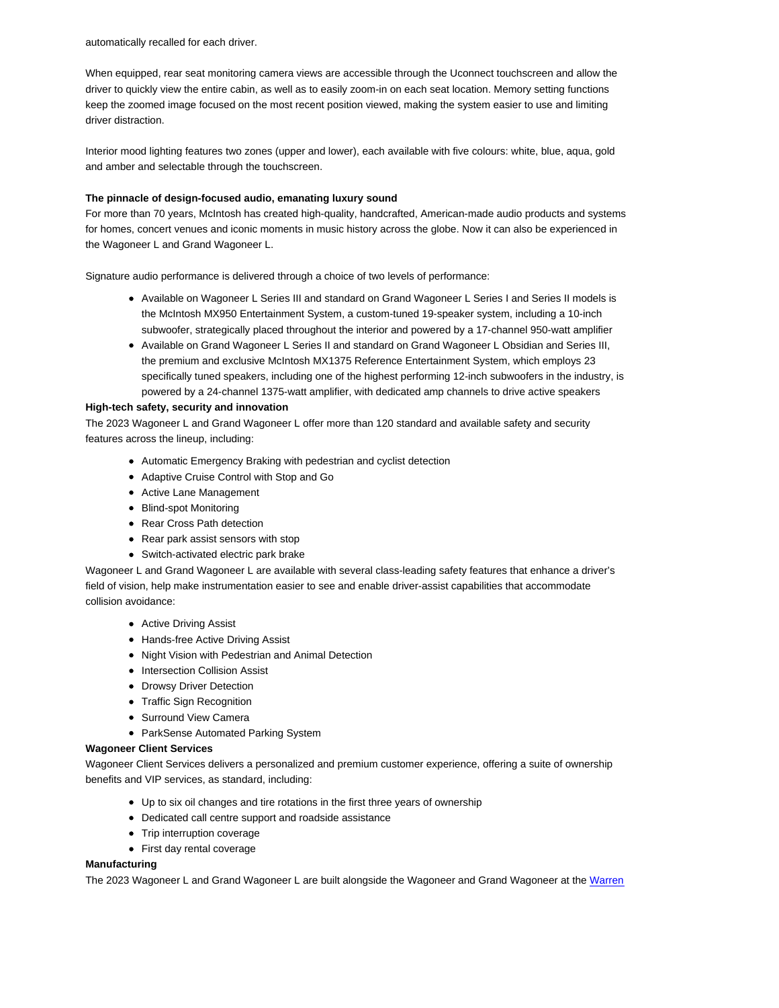automatically recalled for each driver.

When equipped, rear seat monitoring camera views are accessible through the Uconnect touchscreen and allow the driver to quickly view the entire cabin, as well as to easily zoom-in on each seat location. Memory setting functions keep the zoomed image focused on the most recent position viewed, making the system easier to use and limiting driver distraction.

Interior mood lighting features two zones (upper and lower), each available with five colours: white, blue, aqua, gold and amber and selectable through the touchscreen.

## **The pinnacle of design-focused audio, emanating luxury sound**

For more than 70 years, McIntosh has created high-quality, handcrafted, American-made audio products and systems for homes, concert venues and iconic moments in music history across the globe. Now it can also be experienced in the Wagoneer L and Grand Wagoneer L.

Signature audio performance is delivered through a choice of two levels of performance:

- Available on Wagoneer L Series III and standard on Grand Wagoneer L Series I and Series II models is the McIntosh MX950 Entertainment System, a custom-tuned 19-speaker system, including a 10-inch subwoofer, strategically placed throughout the interior and powered by a 17-channel 950-watt amplifier
- Available on Grand Wagoneer L Series II and standard on Grand Wagoneer L Obsidian and Series III, the premium and exclusive McIntosh MX1375 Reference Entertainment System, which employs 23 specifically tuned speakers, including one of the highest performing 12-inch subwoofers in the industry, is powered by a 24-channel 1375-watt amplifier, with dedicated amp channels to drive active speakers

## **High-tech safety, security and innovation**

The 2023 Wagoneer L and Grand Wagoneer L offer more than 120 standard and available safety and security features across the lineup, including:

- Automatic Emergency Braking with pedestrian and cyclist detection
- Adaptive Cruise Control with Stop and Go
- Active Lane Management
- Blind-spot Monitoring
- Rear Cross Path detection
- Rear park assist sensors with stop
- Switch-activated electric park brake

Wagoneer L and Grand Wagoneer L are available with several class-leading safety features that enhance a driver's field of vision, help make instrumentation easier to see and enable driver-assist capabilities that accommodate collision avoidance:

- Active Driving Assist
- Hands-free Active Driving Assist
- Night Vision with Pedestrian and Animal Detection
- Intersection Collision Assist
- Drowsy Driver Detection
- Traffic Sign Recognition
- Surround View Camera
- ParkSense Automated Parking System

### **Wagoneer Client Services**

Wagoneer Client Services delivers a personalized and premium customer experience, offering a suite of ownership benefits and VIP services, as standard, including:

- Up to six oil changes and tire rotations in the first three years of ownership
- Dedicated call centre support and roadside assistance
- Trip interruption coverage
- First day rental coverage

## **Manufacturing**

The 2023 Wagoneer L and Grand Wagoneer L are built alongside the Wagoneer and Grand Wagoneer at the Warren